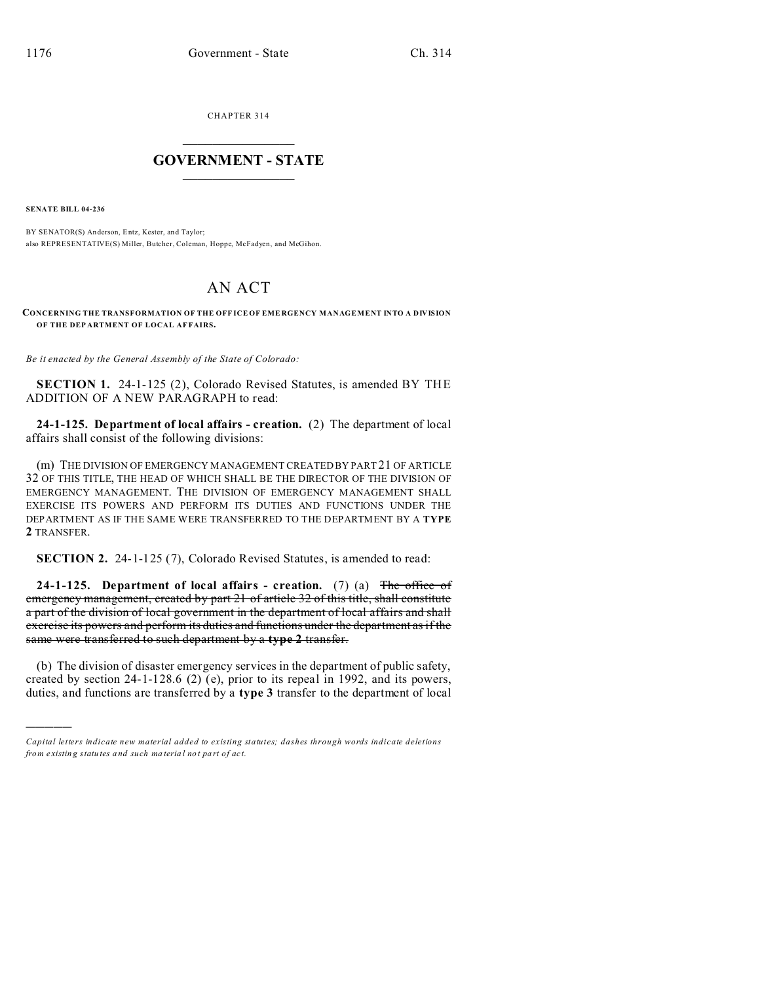CHAPTER 314  $\overline{\phantom{a}}$  , where  $\overline{\phantom{a}}$ 

## **GOVERNMENT - STATE**  $\_$   $\_$

**SENATE BILL 04-236**

)))))

BY SENATOR(S) Anderson, Entz, Kester, and Taylor; also REPRESENTATIVE(S) Miller, Butcher, Coleman, Hoppe, McFadyen, and McGihon.

## AN ACT

**CONCERNING THE TRANSFORMATION OF THE OFF ICE OF EME RGENCY MANAGEMENT INTO A DIVISION OF THE DEP ARTMENT OF LOCAL AF FAIRS.**

*Be it enacted by the General Assembly of the State of Colorado:*

**SECTION 1.** 24-1-125 (2), Colorado Revised Statutes, is amended BY THE ADDITION OF A NEW PARAGRAPH to read:

**24-1-125. Department of local affairs - creation.** (2) The department of local affairs shall consist of the following divisions:

(m) THE DIVISION OF EMERGENCY MANAGEMENT CREATED BY PART 21 OF ARTICLE 32 OF THIS TITLE, THE HEAD OF WHICH SHALL BE THE DIRECTOR OF THE DIVISION OF EMERGENCY MANAGEMENT. THE DIVISION OF EMERGENCY MANAGEMENT SHALL EXERCISE ITS POWERS AND PERFORM ITS DUTIES AND FUNCTIONS UNDER THE DEPARTMENT AS IF THE SAME WERE TRANSFERRED TO THE DEPARTMENT BY A **TYPE 2** TRANSFER.

**SECTION 2.** 24-1-125 (7), Colorado Revised Statutes, is amended to read:

**24-1-125. Department of local affairs - creation.** (7) (a) The office of emergency management, created by part 21 of article 32 of this title, shall constitute a part of the division of local government in the department of local affairs and shall exercise its powers and perform its duties and functions under the department as if the same were transferred to such department by a **type 2** transfer.

(b) The division of disaster emergency services in the department of public safety, created by section 24-1-128.6 (2) (e), prior to its repeal in 1992, and its powers, duties, and functions are transferred by a **type 3** transfer to the department of local

*Capital letters indicate new material added to existing statutes; dashes through words indicate deletions from e xistin g statu tes a nd such ma teria l no t pa rt of ac t.*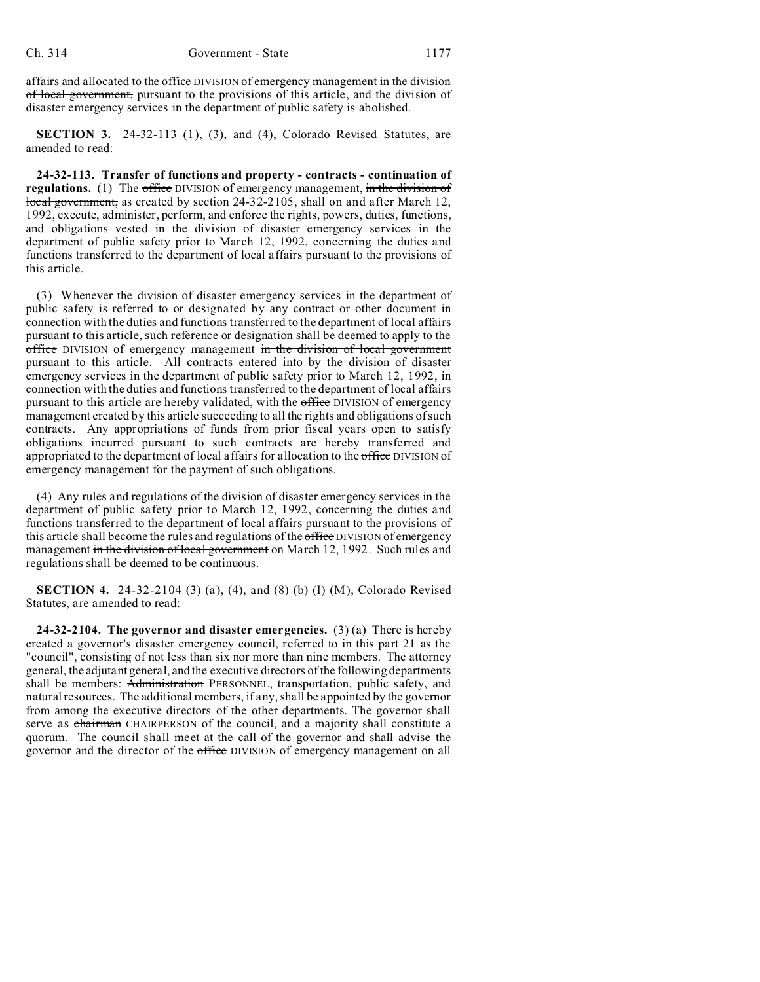affairs and allocated to the office DIVISION of emergency management in the division of local government, pursuant to the provisions of this article, and the division of disaster emergency services in the department of public safety is abolished.

**SECTION 3.** 24-32-113 (1), (3), and (4), Colorado Revised Statutes, are amended to read:

**24-32-113. Transfer of functions and property - contracts - continuation of regulations.** (1) The office DIVISION of emergency management, in the division of local government, as created by section 24-32-2105, shall on and after March 12, 1992, execute, administer, perform, and enforce the rights, powers, duties, functions, and obligations vested in the division of disaster emergency services in the department of public safety prior to March 12, 1992, concerning the duties and functions transferred to the department of local affairs pursuant to the provisions of this article.

(3) Whenever the division of disaster emergency services in the department of public safety is referred to or designated by any contract or other document in connection with the duties and functions transferred to the department of local affairs pursuant to this article, such reference or designation shall be deemed to apply to the office DIVISION of emergency management in the division of local government pursuant to this article. All contracts entered into by the division of disaster emergency services in the department of public safety prior to March 12, 1992, in connection with the duties and functions transferred to the department of local affairs pursuant to this article are hereby validated, with the office DIVISION of emergency management created by this article succeeding to all the rights and obligations of such contracts. Any appropriations of funds from prior fiscal years open to satisfy obligations incurred pursuant to such contracts are hereby transferred and appropriated to the department of local affairs for allocation to the office DIVISION of emergency management for the payment of such obligations.

(4) Any rules and regulations of the division of disaster emergency services in the department of public safety prior to March 12, 1992, concerning the duties and functions transferred to the department of local affairs pursuant to the provisions of this article shall become the rules and regulations of the office DIVISION of emergency management in the division of local government on March 12, 1992. Such rules and regulations shall be deemed to be continuous.

**SECTION 4.** 24-32-2104 (3) (a), (4), and (8) (b) (I) (M), Colorado Revised Statutes, are amended to read:

**24-32-2104. The governor and disaster emergencies.** (3) (a) There is hereby created a governor's disaster emergency council, referred to in this part 21 as the "council", consisting of not less than six nor more than nine members. The attorney general, the adjutant general, and the executive directors of the following departments shall be members: Administration PERSONNEL, transportation, public safety, and natural resources. The additional members, if any, shall be appointed by the governor from among the executive directors of the other departments. The governor shall serve as chairman CHAIRPERSON of the council, and a majority shall constitute a quorum. The council shall meet at the call of the governor and shall advise the governor and the director of the office DIVISION of emergency management on all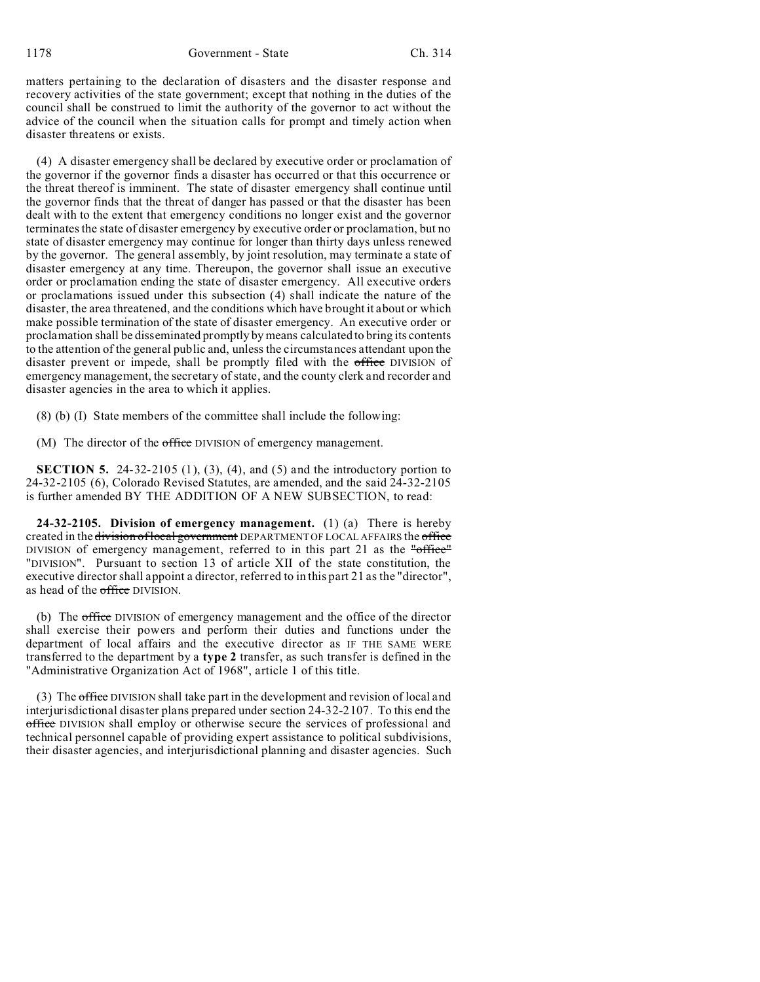1178 Government - State Ch. 314

matters pertaining to the declaration of disasters and the disaster response and recovery activities of the state government; except that nothing in the duties of the council shall be construed to limit the authority of the governor to act without the advice of the council when the situation calls for prompt and timely action when disaster threatens or exists.

(4) A disaster emergency shall be declared by executive order or proclamation of the governor if the governor finds a disaster has occurred or that this occurrence or the threat thereof is imminent. The state of disaster emergency shall continue until the governor finds that the threat of danger has passed or that the disaster has been dealt with to the extent that emergency conditions no longer exist and the governor terminates the state of disaster emergency by executive order or proclamation, but no state of disaster emergency may continue for longer than thirty days unless renewed by the governor. The general assembly, by joint resolution, may terminate a state of disaster emergency at any time. Thereupon, the governor shall issue an executive order or proclamation ending the state of disaster emergency. All executive orders or proclamations issued under this subsection (4) shall indicate the nature of the disaster, the area threatened, and the conditions which have brought it about or which make possible termination of the state of disaster emergency. An executive order or proclamation shall be disseminated promptly by means calculated to bring its contents to the attention of the general public and, unless the circumstances attendant upon the disaster prevent or impede, shall be promptly filed with the office DIVISION of emergency management, the secretary of state, and the county clerk and recorder and disaster agencies in the area to which it applies.

(8) (b) (I) State members of the committee shall include the following:

(M) The director of the office DIVISION of emergency management.

**SECTION 5.** 24-32-2105 (1), (3), (4), and (5) and the introductory portion to 24-32-2105 (6), Colorado Revised Statutes, are amended, and the said 24-32-2105 is further amended BY THE ADDITION OF A NEW SUBSECTION, to read:

**24-32-2105. Division of emergency management.** (1) (a) There is hereby created in the division of local government DEPARTMENT OF LOCAL AFFAIRS the office DIVISION of emergency management, referred to in this part 21 as the "office" "DIVISION". Pursuant to section 13 of article XII of the state constitution, the executive director shall appoint a director, referred to in this part 21 as the "director", as head of the office DIVISION.

(b) The office DIVISION of emergency management and the office of the director shall exercise their powers and perform their duties and functions under the department of local affairs and the executive director as IF THE SAME WERE transferred to the department by a **type 2** transfer, as such transfer is defined in the "Administrative Organization Act of 1968", article 1 of this title.

(3) The office DIVISION shall take part in the development and revision of local and interjurisdictional disaster plans prepared under section 24-32-2107. To this end the office DIVISION shall employ or otherwise secure the services of professional and technical personnel capable of providing expert assistance to political subdivisions, their disaster agencies, and interjurisdictional planning and disaster agencies. Such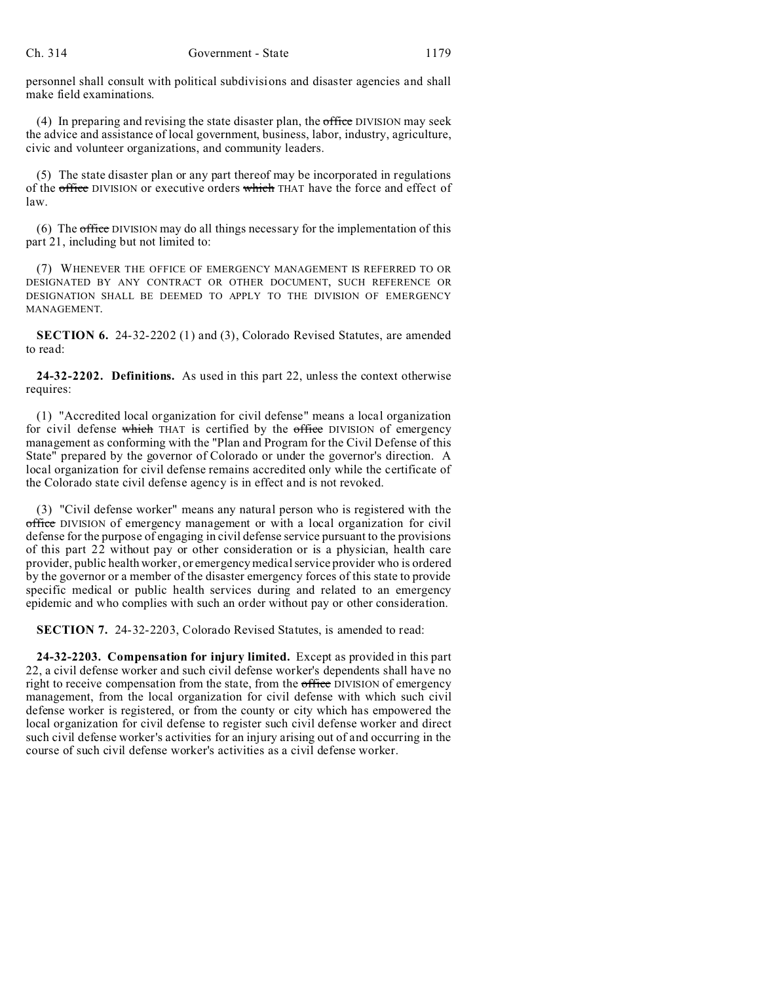personnel shall consult with political subdivisions and disaster agencies and shall make field examinations.

(4) In preparing and revising the state disaster plan, the  $\sigma$  effice DIVISION may seek the advice and assistance of local government, business, labor, industry, agriculture, civic and volunteer organizations, and community leaders.

(5) The state disaster plan or any part thereof may be incorporated in regulations of the office DIVISION or executive orders which THAT have the force and effect of law.

(6) The office DIVISION may do all things necessary for the implementation of this part 21, including but not limited to:

(7) WHENEVER THE OFFICE OF EMERGENCY MANAGEMENT IS REFERRED TO OR DESIGNATED BY ANY CONTRACT OR OTHER DOCUMENT, SUCH REFERENCE OR DESIGNATION SHALL BE DEEMED TO APPLY TO THE DIVISION OF EMERGENCY **MANAGEMENT.** 

**SECTION 6.** 24-32-2202 (1) and (3), Colorado Revised Statutes, are amended to read:

**24-32-2202. Definitions.** As used in this part 22, unless the context otherwise requires:

(1) "Accredited local organization for civil defense" means a local organization for civil defense which THAT is certified by the office DIVISION of emergency management as conforming with the "Plan and Program for the Civil Defense of this State" prepared by the governor of Colorado or under the governor's direction. A local organization for civil defense remains accredited only while the certificate of the Colorado state civil defense agency is in effect and is not revoked.

(3) "Civil defense worker" means any natural person who is registered with the office DIVISION of emergency management or with a local organization for civil defense for the purpose of engaging in civil defense service pursuant to the provisions of this part 22 without pay or other consideration or is a physician, health care provider, public health worker, or emergency medical service provider who is ordered by the governor or a member of the disaster emergency forces of this state to provide specific medical or public health services during and related to an emergency epidemic and who complies with such an order without pay or other consideration.

**SECTION 7.** 24-32-2203, Colorado Revised Statutes, is amended to read:

**24-32-2203. Compensation for injury limited.** Except as provided in this part 22, a civil defense worker and such civil defense worker's dependents shall have no right to receive compensation from the state, from the office DIVISION of emergency management, from the local organization for civil defense with which such civil defense worker is registered, or from the county or city which has empowered the local organization for civil defense to register such civil defense worker and direct such civil defense worker's activities for an injury arising out of and occurring in the course of such civil defense worker's activities as a civil defense worker.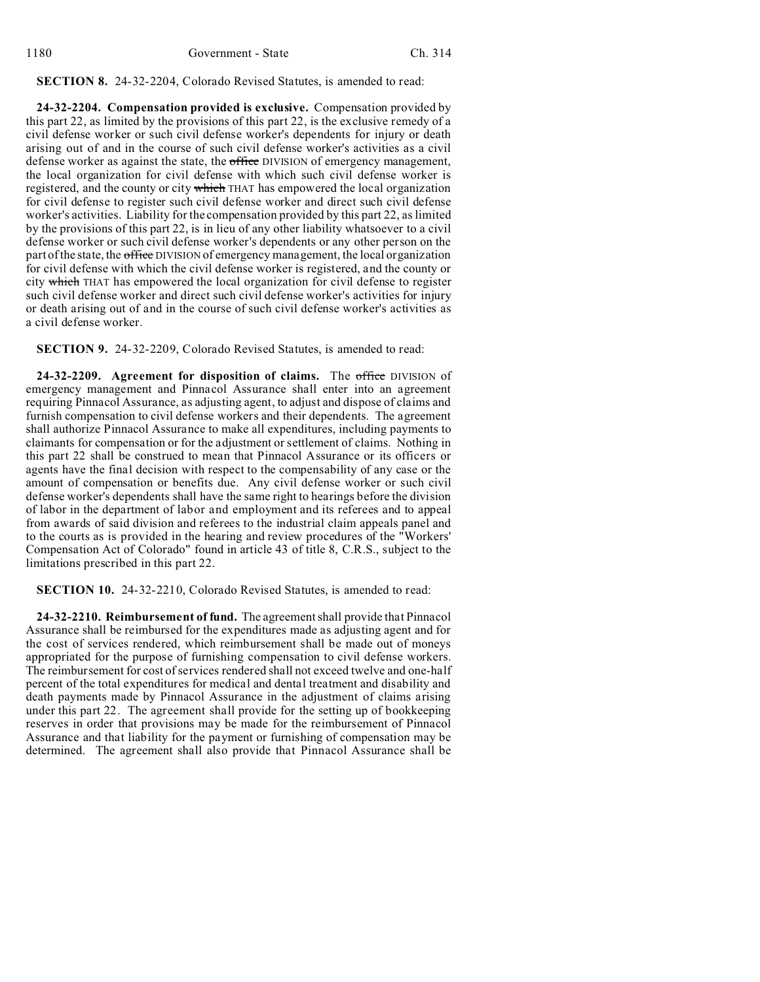## **SECTION 8.** 24-32-2204, Colorado Revised Statutes, is amended to read:

**24-32-2204. Compensation provided is exclusive.** Compensation provided by this part 22, as limited by the provisions of this part 22, is the exclusive remedy of a civil defense worker or such civil defense worker's dependents for injury or death arising out of and in the course of such civil defense worker's activities as a civil defense worker as against the state, the office DIVISION of emergency management, the local organization for civil defense with which such civil defense worker is registered, and the county or city which THAT has empowered the local organization for civil defense to register such civil defense worker and direct such civil defense worker's activities. Liability for the compensation provided by this part 22, as limited by the provisions of this part 22, is in lieu of any other liability whatsoever to a civil defense worker or such civil defense worker's dependents or any other person on the part of the state, the office DIVISION of emergency management, the local organization for civil defense with which the civil defense worker is registered, and the county or city which THAT has empowered the local organization for civil defense to register such civil defense worker and direct such civil defense worker's activities for injury or death arising out of and in the course of such civil defense worker's activities as a civil defense worker.

**SECTION 9.** 24-32-2209, Colorado Revised Statutes, is amended to read:

**24-32-2209. Agreement for disposition of claims.** The office DIVISION of emergency management and Pinnacol Assurance shall enter into an agreement requiring Pinnacol Assurance, as adjusting agent, to adjust and dispose of claims and furnish compensation to civil defense workers and their dependents. The agreement shall authorize Pinnacol Assurance to make all expenditures, including payments to claimants for compensation or for the adjustment or settlement of claims. Nothing in this part 22 shall be construed to mean that Pinnacol Assurance or its officers or agents have the final decision with respect to the compensability of any case or the amount of compensation or benefits due. Any civil defense worker or such civil defense worker's dependents shall have the same right to hearings before the division of labor in the department of labor and employment and its referees and to appeal from awards of said division and referees to the industrial claim appeals panel and to the courts as is provided in the hearing and review procedures of the "Workers' Compensation Act of Colorado" found in article 43 of title 8, C.R.S., subject to the limitations prescribed in this part 22.

**SECTION 10.** 24-32-2210, Colorado Revised Statutes, is amended to read:

**24-32-2210. Reimbursement of fund.** The agreement shall provide that Pinnacol Assurance shall be reimbursed for the expenditures made as adjusting agent and for the cost of services rendered, which reimbursement shall be made out of moneys appropriated for the purpose of furnishing compensation to civil defense workers. The reimbursement for cost of services rendered shall not exceed twelve and one-half percent of the total expenditures for medical and dental treatment and disability and death payments made by Pinnacol Assurance in the adjustment of claims arising under this part 22. The agreement shall provide for the setting up of bookkeeping reserves in order that provisions may be made for the reimbursement of Pinnacol Assurance and that liability for the payment or furnishing of compensation may be determined. The agreement shall also provide that Pinnacol Assurance shall be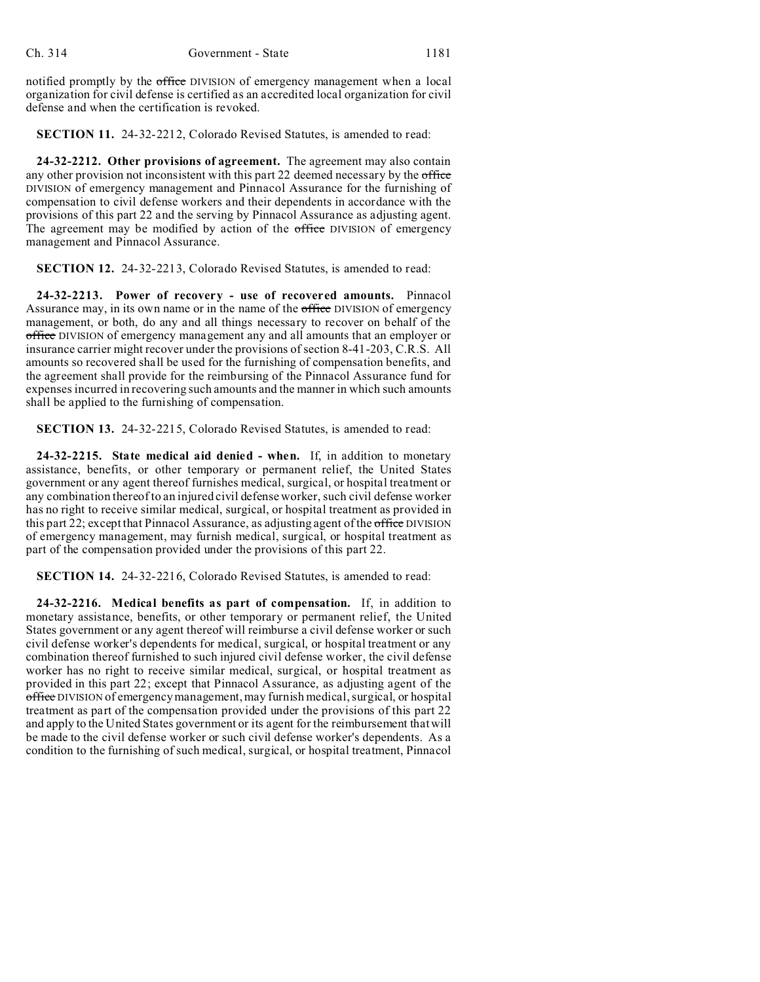notified promptly by the office DIVISION of emergency management when a local organization for civil defense is certified as an accredited local organization for civil defense and when the certification is revoked.

**SECTION 11.** 24-32-2212, Colorado Revised Statutes, is amended to read:

**24-32-2212. Other provisions of agreement.** The agreement may also contain any other provision not inconsistent with this part 22 deemed necessary by the office DIVISION of emergency management and Pinnacol Assurance for the furnishing of compensation to civil defense workers and their dependents in accordance with the provisions of this part 22 and the serving by Pinnacol Assurance as adjusting agent. The agreement may be modified by action of the office DIVISION of emergency management and Pinnacol Assurance.

**SECTION 12.** 24-32-2213, Colorado Revised Statutes, is amended to read:

**24-32-2213. Power of recovery - use of recovered amounts.** Pinnacol Assurance may, in its own name or in the name of the office DIVISION of emergency management, or both, do any and all things necessary to recover on behalf of the office DIVISION of emergency management any and all amounts that an employer or insurance carrier might recover under the provisions of section 8-41-203, C.R.S. All amounts so recovered shall be used for the furnishing of compensation benefits, and the agreement shall provide for the reimbursing of the Pinnacol Assurance fund for expenses incurred in recovering such amounts and the manner in which such amounts shall be applied to the furnishing of compensation.

**SECTION 13.** 24-32-2215, Colorado Revised Statutes, is amended to read:

**24-32-2215. State medical aid denied - when.** If, in addition to monetary assistance, benefits, or other temporary or permanent relief, the United States government or any agent thereof furnishes medical, surgical, or hospital treatment or any combination thereof to an injured civil defense worker, such civil defense worker has no right to receive similar medical, surgical, or hospital treatment as provided in this part 22; except that Pinnacol Assurance, as adjusting agent of the office DIVISION of emergency management, may furnish medical, surgical, or hospital treatment as part of the compensation provided under the provisions of this part 22.

**SECTION 14.** 24-32-2216, Colorado Revised Statutes, is amended to read:

**24-32-2216. Medical benefits as part of compensation.** If, in addition to monetary assistance, benefits, or other temporary or permanent relief, the United States government or any agent thereof will reimburse a civil defense worker or such civil defense worker's dependents for medical, surgical, or hospital treatment or any combination thereof furnished to such injured civil defense worker, the civil defense worker has no right to receive similar medical, surgical, or hospital treatment as provided in this part 22; except that Pinnacol Assurance, as adjusting agent of the office DIVISION of emergency management, may furnish medical, surgical, or hospital treatment as part of the compensation provided under the provisions of this part 22 and apply to the United States government or its agent for the reimbursement that will be made to the civil defense worker or such civil defense worker's dependents. As a condition to the furnishing of such medical, surgical, or hospital treatment, Pinnacol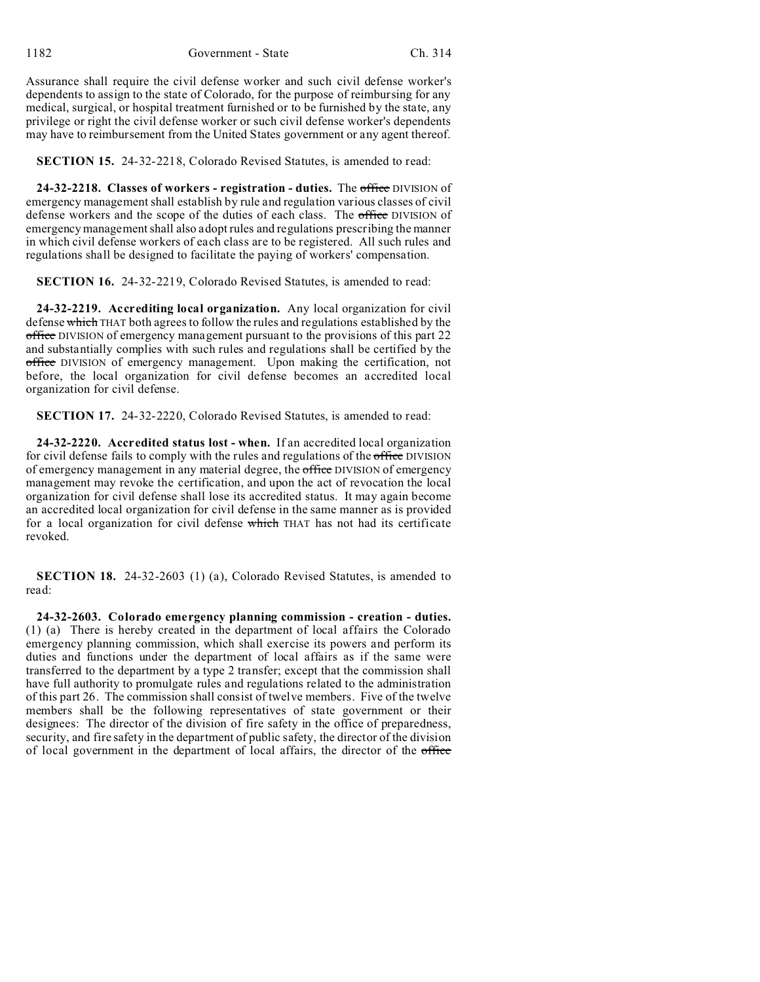Assurance shall require the civil defense worker and such civil defense worker's dependents to assign to the state of Colorado, for the purpose of reimbursing for any medical, surgical, or hospital treatment furnished or to be furnished by the state, any privilege or right the civil defense worker or such civil defense worker's dependents may have to reimbursement from the United States government or any agent thereof.

**SECTION 15.** 24-32-2218, Colorado Revised Statutes, is amended to read:

**24-32-2218. Classes of workers - registration - duties.** The office DIVISION of emergency management shall establish by rule and regulation various classes of civil defense workers and the scope of the duties of each class. The office DIVISION of emergency management shall also adopt rules and regulations prescribing the manner in which civil defense workers of each class are to be registered. All such rules and regulations shall be designed to facilitate the paying of workers' compensation.

**SECTION 16.** 24-32-2219, Colorado Revised Statutes, is amended to read:

**24-32-2219. Accrediting local organization.** Any local organization for civil defense which THAT both agrees to follow the rules and regulations established by the office DIVISION of emergency management pursuant to the provisions of this part 22 and substantially complies with such rules and regulations shall be certified by the office DIVISION of emergency management. Upon making the certification, not before, the local organization for civil defense becomes an accredited local organization for civil defense.

**SECTION 17.** 24-32-2220, Colorado Revised Statutes, is amended to read:

**24-32-2220. Accredited status lost - when.** If an accredited local organization for civil defense fails to comply with the rules and regulations of the office DIVISION of emergency management in any material degree, the office DIVISION of emergency management may revoke the certification, and upon the act of revocation the local organization for civil defense shall lose its accredited status. It may again become an accredited local organization for civil defense in the same manner as is provided for a local organization for civil defense which THAT has not had its certificate revoked.

**SECTION 18.** 24-32-2603 (1) (a), Colorado Revised Statutes, is amended to read:

**24-32-2603. Colorado emergency planning commission - creation - duties.** (1) (a) There is hereby created in the department of local affairs the Colorado emergency planning commission, which shall exercise its powers and perform its duties and functions under the department of local affairs as if the same were transferred to the department by a type 2 transfer; except that the commission shall have full authority to promulgate rules and regulations related to the administration of this part 26. The commission shall consist of twelve members. Five of the twelve members shall be the following representatives of state government or their designees: The director of the division of fire safety in the office of preparedness, security, and fire safety in the department of public safety, the director of the division of local government in the department of local affairs, the director of the office